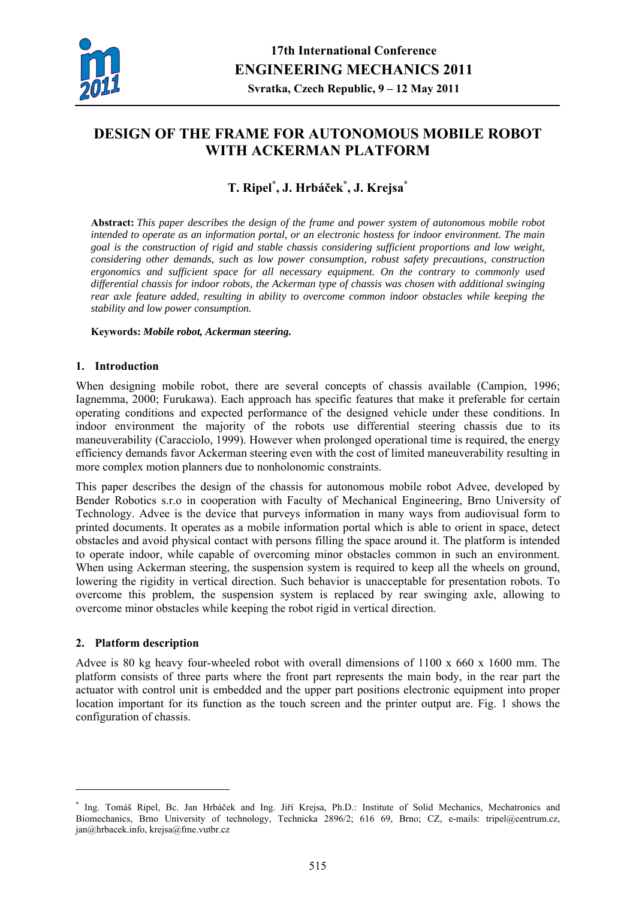

# **DESIGN OF THE FRAME FOR AUTONOMOUS MOBILE ROBOT WITH ACKERMAN PLATFORM**

## **T. Ripel\* , J. Hrbáček\* , J. Krejsa\***

**Abstract:** *This paper describes the design of the frame and power system of autonomous mobile robot intended to operate as an information portal, or an electronic hostess for indoor environment. The main goal is the construction of rigid and stable chassis considering sufficient proportions and low weight, considering other demands, such as low power consumption, robust safety precautions, construction ergonomics and sufficient space for all necessary equipment. On the contrary to commonly used differential chassis for indoor robots, the Ackerman type of chassis was chosen with additional swinging rear axle feature added, resulting in ability to overcome common indoor obstacles while keeping the stability and low power consumption.* 

#### **Keywords:** *Mobile robot, Ackerman steering.*

## **1. Introduction**

When designing mobile robot, there are several concepts of chassis available (Campion, 1996; Iagnemma, 2000; Furukawa). Each approach has specific features that make it preferable for certain operating conditions and expected performance of the designed vehicle under these conditions. In indoor environment the majority of the robots use differential steering chassis due to its maneuverability (Caracciolo, 1999). However when prolonged operational time is required, the energy efficiency demands favor Ackerman steering even with the cost of limited maneuverability resulting in more complex motion planners due to nonholonomic constraints.

This paper describes the design of the chassis for autonomous mobile robot Advee, developed by Bender Robotics s.r.o in cooperation with Faculty of Mechanical Engineering, Brno University of Technology. Advee is the device that purveys information in many ways from audiovisual form to printed documents. It operates as a mobile information portal which is able to orient in space, detect obstacles and avoid physical contact with persons filling the space around it. The platform is intended to operate indoor, while capable of overcoming minor obstacles common in such an environment. When using Ackerman steering, the suspension system is required to keep all the wheels on ground, lowering the rigidity in vertical direction. Such behavior is unacceptable for presentation robots. To overcome this problem, the suspension system is replaced by rear swinging axle, allowing to overcome minor obstacles while keeping the robot rigid in vertical direction.

## **2. Platform description**

1

Advee is 80 kg heavy four-wheeled robot with overall dimensions of 1100 x 660 x 1600 mm. The platform consists of three parts where the front part represents the main body, in the rear part the actuator with control unit is embedded and the upper part positions electronic equipment into proper location important for its function as the touch screen and the printer output are. Fig. 1 shows the configuration of chassis.

<sup>\*</sup> Ing. Tomáš Ripel, Bc. Jan Hrbáček and Ing. Jiří Krejsa, Ph.D.: Institute of Solid Mechanics, Mechatronics and Biomechanics, Brno University of technology, Technicka 2896/2; 616 69, Brno; CZ, e-mails: tripel@centrum.cz, jan@hrbacek.info, krejsa@fme.vutbr.cz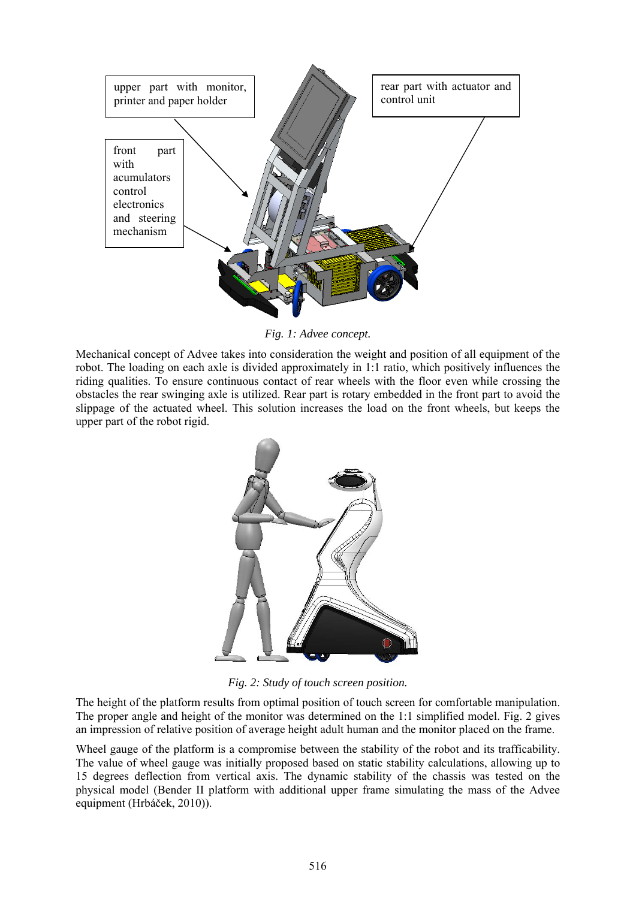

*Fig. 1: Advee concept.* 

Mechanical concept of Advee takes into consideration the weight and position of all equipment of the robot. The loading on each axle is divided approximately in 1:1 ratio, which positively influences the riding qualities. To ensure continuous contact of rear wheels with the floor even while crossing the obstacles the rear swinging axle is utilized. Rear part is rotary embedded in the front part to avoid the slippage of the actuated wheel. This solution increases the load on the front wheels, but keeps the upper part of the robot rigid.



*Fig. 2: Study of touch screen position.* 

The height of the platform results from optimal position of touch screen for comfortable manipulation. The proper angle and height of the monitor was determined on the 1:1 simplified model. Fig. 2 gives an impression of relative position of average height adult human and the monitor placed on the frame.

Wheel gauge of the platform is a compromise between the stability of the robot and its trafficability. The value of wheel gauge was initially proposed based on static stability calculations, allowing up to 15 degrees deflection from vertical axis. The dynamic stability of the chassis was tested on the physical model (Bender II platform with additional upper frame simulating the mass of the Advee equipment (Hrbáček, 2010)).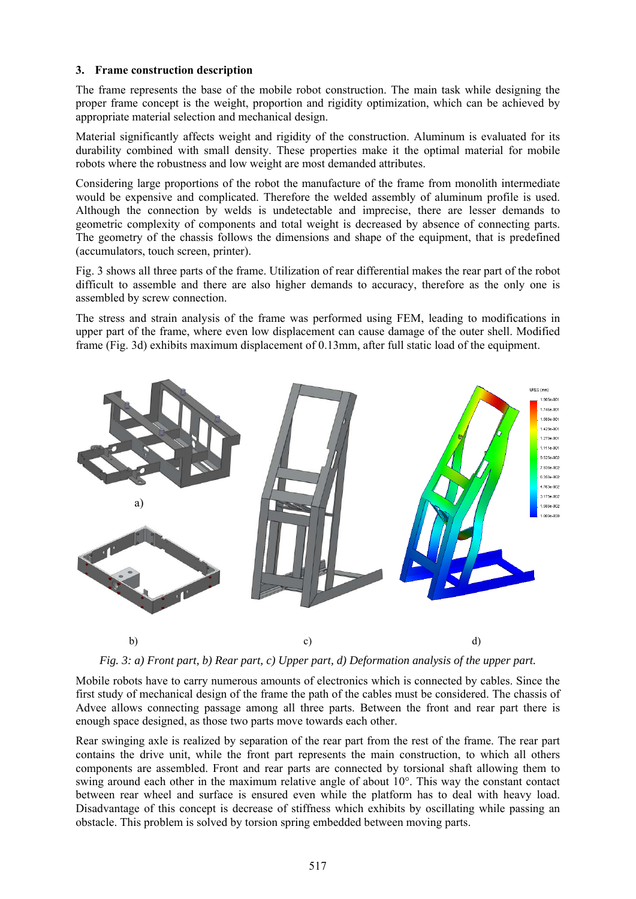## **3. Frame construction description**

The frame represents the base of the mobile robot construction. The main task while designing the proper frame concept is the weight, proportion and rigidity optimization, which can be achieved by appropriate material selection and mechanical design.

Material significantly affects weight and rigidity of the construction. Aluminum is evaluated for its durability combined with small density. These properties make it the optimal material for mobile robots where the robustness and low weight are most demanded attributes.

Considering large proportions of the robot the manufacture of the frame from monolith intermediate would be expensive and complicated. Therefore the welded assembly of aluminum profile is used. Although the connection by welds is undetectable and imprecise, there are lesser demands to geometric complexity of components and total weight is decreased by absence of connecting parts. The geometry of the chassis follows the dimensions and shape of the equipment, that is predefined (accumulators, touch screen, printer).

Fig. 3 shows all three parts of the frame. Utilization of rear differential makes the rear part of the robot difficult to assemble and there are also higher demands to accuracy, therefore as the only one is assembled by screw connection.

The stress and strain analysis of the frame was performed using FEM, leading to modifications in upper part of the frame, where even low displacement can cause damage of the outer shell. Modified frame (Fig. 3d) exhibits maximum displacement of 0.13mm, after full static load of the equipment.





Mobile robots have to carry numerous amounts of electronics which is connected by cables. Since the first study of mechanical design of the frame the path of the cables must be considered. The chassis of Advee allows connecting passage among all three parts. Between the front and rear part there is enough space designed, as those two parts move towards each other.

Rear swinging axle is realized by separation of the rear part from the rest of the frame. The rear part contains the drive unit, while the front part represents the main construction, to which all others components are assembled. Front and rear parts are connected by torsional shaft allowing them to swing around each other in the maximum relative angle of about 10°. This way the constant contact between rear wheel and surface is ensured even while the platform has to deal with heavy load. Disadvantage of this concept is decrease of stiffness which exhibits by oscillating while passing an obstacle. This problem is solved by torsion spring embedded between moving parts.